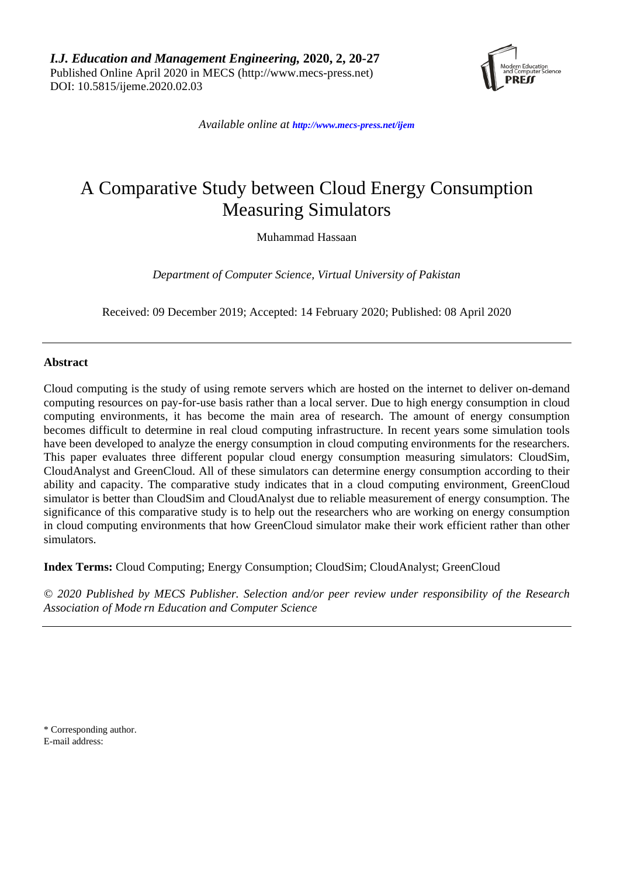*I.J. Education and Management Engineering,* **2020, 2, 20-27** Published Online April 2020 in MECS (http://www.mecs-press.net) DOI: 10.5815/ijeme.2020.02.03



*Available online at <http://www.mecs-press.net/ijem>*

# A Comparative Study between Cloud Energy Consumption Measuring Simulators

Muhammad Hassaan

*Department of Computer Science, Virtual University of Pakistan*

Received: 09 December 2019; Accepted: 14 February 2020; Published: 08 April 2020

## **Abstract**

Cloud computing is the study of using remote servers which are hosted on the internet to deliver on-demand computing resources on pay-for-use basis rather than a local server. Due to high energy consumption in cloud computing environments, it has become the main area of research. The amount of energy consumption becomes difficult to determine in real cloud computing infrastructure. In recent years some simulation tools have been developed to analyze the energy consumption in cloud computing environments for the researchers. This paper evaluates three different popular cloud energy consumption measuring simulators: CloudSim, CloudAnalyst and GreenCloud. All of these simulators can determine energy consumption according to their ability and capacity. The comparative study indicates that in a cloud computing environment, GreenCloud simulator is better than CloudSim and CloudAnalyst due to reliable measurement of energy consumption. The significance of this comparative study is to help out the researchers who are working on energy consumption in cloud computing environments that how GreenCloud simulator make their work efficient rather than other simulators.

**Index Terms:** Cloud Computing; Energy Consumption; CloudSim; CloudAnalyst; GreenCloud

*© 2020 Published by MECS Publisher. Selection and/or peer review under responsibility of the Research Association of Mode rn Education and Computer Science*

\* Corresponding author. E-mail address: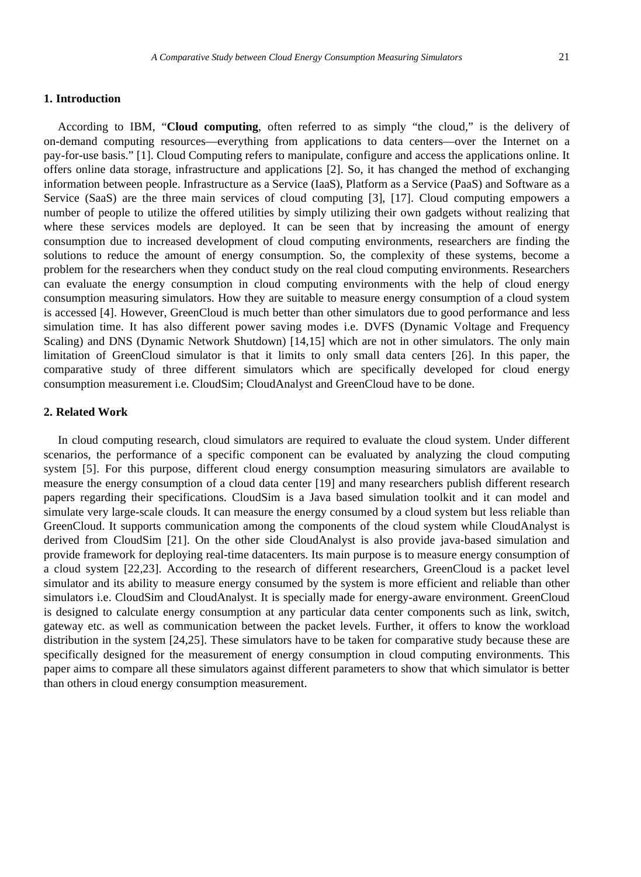### **1. Introduction**

According to IBM, "**Cloud computing**, often referred to as simply "the cloud," is the delivery of on-demand computing resources—everything from applications to data centers—over the Internet on a pay-for-use basis." [1]. Cloud Computing refers to manipulate, configure and access the applications online. It offers online data storage, infrastructure and applications [2]. So, it has changed the method of exchanging information between people. Infrastructure as a Service (IaaS), Platform as a Service (PaaS) and Software as a Service (SaaS) are the three main services of cloud computing [3], [17]. Cloud computing empowers a number of people to utilize the offered utilities by simply utilizing their own gadgets without realizing that where these services models are deployed. It can be seen that by increasing the amount of energy consumption due to increased development of cloud computing environments, researchers are finding the solutions to reduce the amount of energy consumption. So, the complexity of these systems, become a problem for the researchers when they conduct study on the real cloud computing environments. Researchers can evaluate the energy consumption in cloud computing environments with the help of cloud energy consumption measuring simulators. How they are suitable to measure energy consumption of a cloud system is accessed [4]. However, GreenCloud is much better than other simulators due to good performance and less simulation time. It has also different power saving modes i.e. DVFS (Dynamic Voltage and Frequency Scaling) and DNS (Dynamic Network Shutdown) [14,15] which are not in other simulators. The only main limitation of GreenCloud simulator is that it limits to only small data centers [26]. In this paper, the comparative study of three different simulators which are specifically developed for cloud energy consumption measurement i.e. CloudSim; CloudAnalyst and GreenCloud have to be done.

### **2. Related Work**

In cloud computing research, cloud simulators are required to evaluate the cloud system. Under different scenarios, the performance of a specific component can be evaluated by analyzing the cloud computing system [5]. For this purpose, different cloud energy consumption measuring simulators are available to measure the energy consumption of a cloud data center [19] and many researchers publish different research papers regarding their specifications. CloudSim is a Java based simulation toolkit and it can model and simulate very large-scale clouds. It can measure the energy consumed by a cloud system but less reliable than GreenCloud. It supports communication among the components of the cloud system while CloudAnalyst is derived from CloudSim [21]. On the other side CloudAnalyst is also provide java-based simulation and provide framework for deploying real-time datacenters. Its main purpose is to measure energy consumption of a cloud system [22,23]. According to the research of different researchers, GreenCloud is a packet level simulator and its ability to measure energy consumed by the system is more efficient and reliable than other simulators i.e. CloudSim and CloudAnalyst. It is specially made for energy-aware environment. GreenCloud is designed to calculate energy consumption at any particular data center components such as link, switch, gateway etc. as well as communication between the packet levels. Further, it offers to know the workload distribution in the system [24,25]. These simulators have to be taken for comparative study because these are specifically designed for the measurement of energy consumption in cloud computing environments. This paper aims to compare all these simulators against different parameters to show that which simulator is better than others in cloud energy consumption measurement.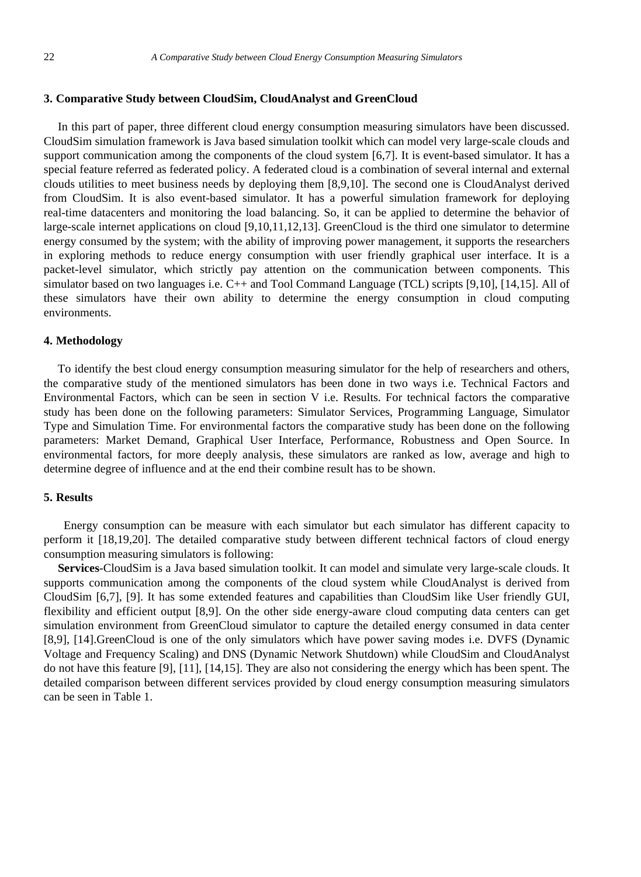### **3. Comparative Study between CloudSim, CloudAnalyst and GreenCloud**

In this part of paper, three different cloud energy consumption measuring simulators have been discussed. CloudSim simulation framework is Java based simulation toolkit which can model very large-scale clouds and support communication among the components of the cloud system [6,7]. It is event-based simulator. It has a special feature referred as federated policy. A federated cloud is a combination of several internal and external clouds utilities to meet business needs by deploying them [8,9,10]. The second one is CloudAnalyst derived from CloudSim. It is also event-based simulator. It has a powerful simulation framework for deploying real-time datacenters and monitoring the load balancing. So, it can be applied to determine the behavior of large-scale internet applications on cloud [9,10,11,12,13]. GreenCloud is the third one simulator to determine energy consumed by the system; with the ability of improving power management, it supports the researchers in exploring methods to reduce energy consumption with user friendly graphical user interface. It is a packet-level simulator, which strictly pay attention on the communication between components. This simulator based on two languages i.e. C++ and Tool Command Language (TCL) scripts [9,10], [14,15]. All of these simulators have their own ability to determine the energy consumption in cloud computing environments.

## **4. Methodology**

To identify the best cloud energy consumption measuring simulator for the help of researchers and others, the comparative study of the mentioned simulators has been done in two ways i.e. Technical Factors and Environmental Factors, which can be seen in section V i.e. Results. For technical factors the comparative study has been done on the following parameters: Simulator Services, Programming Language, Simulator Type and Simulation Time. For environmental factors the comparative study has been done on the following parameters: Market Demand, Graphical User Interface, Performance, Robustness and Open Source. In environmental factors, for more deeply analysis, these simulators are ranked as low, average and high to determine degree of influence and at the end their combine result has to be shown.

#### **5. Results**

Energy consumption can be measure with each simulator but each simulator has different capacity to perform it [18,19,20]. The detailed comparative study between different technical factors of cloud energy consumption measuring simulators is following:

**Services**-CloudSim is a Java based simulation toolkit. It can model and simulate very large-scale clouds. It supports communication among the components of the cloud system while CloudAnalyst is derived from CloudSim [6,7], [9]. It has some extended features and capabilities than CloudSim like User friendly GUI, flexibility and efficient output [8,9]. On the other side energy-aware cloud computing data centers can get simulation environment from GreenCloud simulator to capture the detailed energy consumed in data center [8,9], [14].GreenCloud is one of the only simulators which have power saving modes i.e. DVFS (Dynamic Voltage and Frequency Scaling) and DNS (Dynamic Network Shutdown) while CloudSim and CloudAnalyst do not have this feature [9], [11], [14,15]. They are also not considering the energy which has been spent. The detailed comparison between different services provided by cloud energy consumption measuring simulators can be seen in Table 1.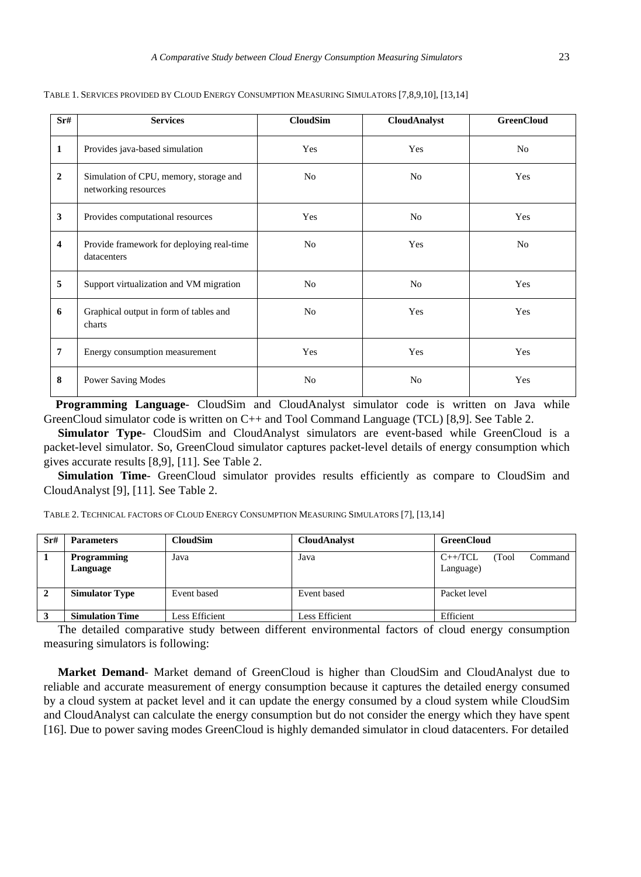| Sr#                     | <b>Services</b>                                                | <b>CloudSim</b> | <b>CloudAnalyst</b> | <b>GreenCloud</b> |
|-------------------------|----------------------------------------------------------------|-----------------|---------------------|-------------------|
| $\mathbf{1}$            | Provides java-based simulation                                 | Yes             | Yes                 | N <sub>o</sub>    |
| $\overline{2}$          | Simulation of CPU, memory, storage and<br>networking resources | No              | N <sub>o</sub>      | Yes               |
| 3                       | Provides computational resources                               | Yes             | N <sub>0</sub>      | Yes               |
| $\overline{\mathbf{4}}$ | Provide framework for deploying real-time<br>datacenters       | No              | Yes                 | No                |
| 5                       | Support virtualization and VM migration                        | No              | N <sub>o</sub>      | Yes               |
| 6                       | Graphical output in form of tables and<br>charts               | N <sub>0</sub>  | Yes                 | Yes               |
| $\overline{7}$          | Energy consumption measurement                                 | Yes             | Yes                 | Yes               |
| 8                       | <b>Power Saving Modes</b>                                      | N <sub>o</sub>  | N <sub>o</sub>      | Yes               |

TABLE 1. SERVICES PROVIDED BY CLOUD ENERGY CONSUMPTION MEASURING SIMULATORS [7,8,9,10], [13,14]

**Programming Language**- CloudSim and CloudAnalyst simulator code is written on Java while GreenCloud simulator code is written on C++ and Tool Command Language (TCL) [8,9]. See Table 2.

**Simulator Type**- CloudSim and CloudAnalyst simulators are event-based while GreenCloud is a packet-level simulator. So, GreenCloud simulator captures packet-level details of energy consumption which gives accurate results [8,9], [11]. See Table 2.

**Simulation Time**- GreenCloud simulator provides results efficiently as compare to CloudSim and CloudAnalyst [9], [11]. See Table 2.

TABLE 2. TECHNICAL FACTORS OF CLOUD ENERGY CONSUMPTION MEASURING SIMULATORS [7], [13,14]

| Sr# | <b>Parameters</b>              | <b>CloudSim</b> | <b>CloudAnalyst</b> | <b>GreenCloud</b>                          |
|-----|--------------------------------|-----------------|---------------------|--------------------------------------------|
|     | <b>Programming</b><br>Language | Java            | Java                | $C++/TCL$<br>Command<br>(Tool<br>Language) |
|     | <b>Simulator Type</b>          | Event based     | Event based         | Packet level                               |
|     | <b>Simulation Time</b>         | Less Efficient  | Less Efficient      | Efficient                                  |

The detailed comparative study between different environmental factors of cloud energy consumption measuring simulators is following:

**Market Demand**- Market demand of GreenCloud is higher than CloudSim and CloudAnalyst due to reliable and accurate measurement of energy consumption because it captures the detailed energy consumed by a cloud system at packet level and it can update the energy consumed by a cloud system while CloudSim and CloudAnalyst can calculate the energy consumption but do not consider the energy which they have spent [16]. Due to power saving modes GreenCloud is highly demanded simulator in cloud datacenters. For detailed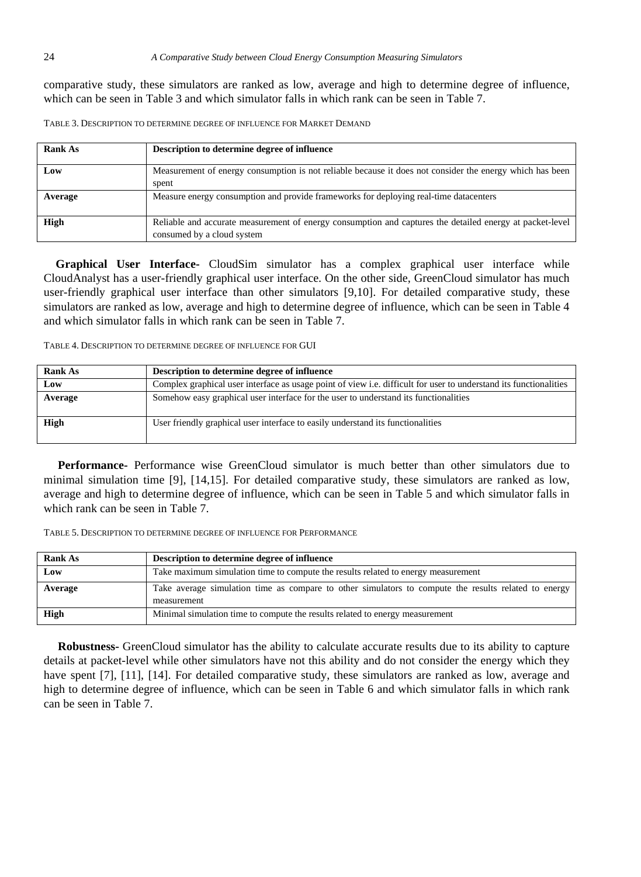comparative study, these simulators are ranked as low, average and high to determine degree of influence, which can be seen in Table 3 and which simulator falls in which rank can be seen in Table 7.

TABLE 3. DESCRIPTION TO DETERMINE DEGREE OF INFLUENCE FOR MARKET DEMAND

| Rank As     | Description to determine degree of influence                                                                                           |
|-------------|----------------------------------------------------------------------------------------------------------------------------------------|
| Low         | Measurement of energy consumption is not reliable because it does not consider the energy which has been<br>spent                      |
| Average     | Measure energy consumption and provide frameworks for deploying real-time datacenters                                                  |
| <b>High</b> | Reliable and accurate measurement of energy consumption and captures the detailed energy at packet-level<br>consumed by a cloud system |

**Graphical User Interface-** CloudSim simulator has a complex graphical user interface while CloudAnalyst has a user-friendly graphical user interface. On the other side, GreenCloud simulator has much user-friendly graphical user interface than other simulators [9,10]. For detailed comparative study, these simulators are ranked as low, average and high to determine degree of influence, which can be seen in Table 4 and which simulator falls in which rank can be seen in Table 7.

TABLE 4. DESCRIPTION TO DETERMINE DEGREE OF INFLUENCE FOR GUI

| <b>Rank As</b> | Description to determine degree of influence                                                                             |
|----------------|--------------------------------------------------------------------------------------------------------------------------|
| Low            | Complex graphical user interface as usage point of view <i>i.e.</i> difficult for user to understand its functionalities |
| Average        | Somehow easy graphical user interface for the user to understand its functionalities                                     |
| High           | User friendly graphical user interface to easily understand its functionalities                                          |

**Performance-** Performance wise GreenCloud simulator is much better than other simulators due to minimal simulation time [9], [14,15]. For detailed comparative study, these simulators are ranked as low, average and high to determine degree of influence, which can be seen in Table 5 and which simulator falls in which rank can be seen in Table 7.

TABLE 5. DESCRIPTION TO DETERMINE DEGREE OF INFLUENCE FOR PERFORMANCE

| <b>Rank As</b> | Description to determine degree of influence                                                         |  |  |
|----------------|------------------------------------------------------------------------------------------------------|--|--|
| Low            | Take maximum simulation time to compute the results related to energy measurement                    |  |  |
| Average        | Take average simulation time as compare to other simulators to compute the results related to energy |  |  |
|                | measurement                                                                                          |  |  |
| High           | Minimal simulation time to compute the results related to energy measurement                         |  |  |

**Robustness-** GreenCloud simulator has the ability to calculate accurate results due to its ability to capture details at packet-level while other simulators have not this ability and do not consider the energy which they have spent [7], [11], [14]. For detailed comparative study, these simulators are ranked as low, average and high to determine degree of influence, which can be seen in Table 6 and which simulator falls in which rank can be seen in Table 7.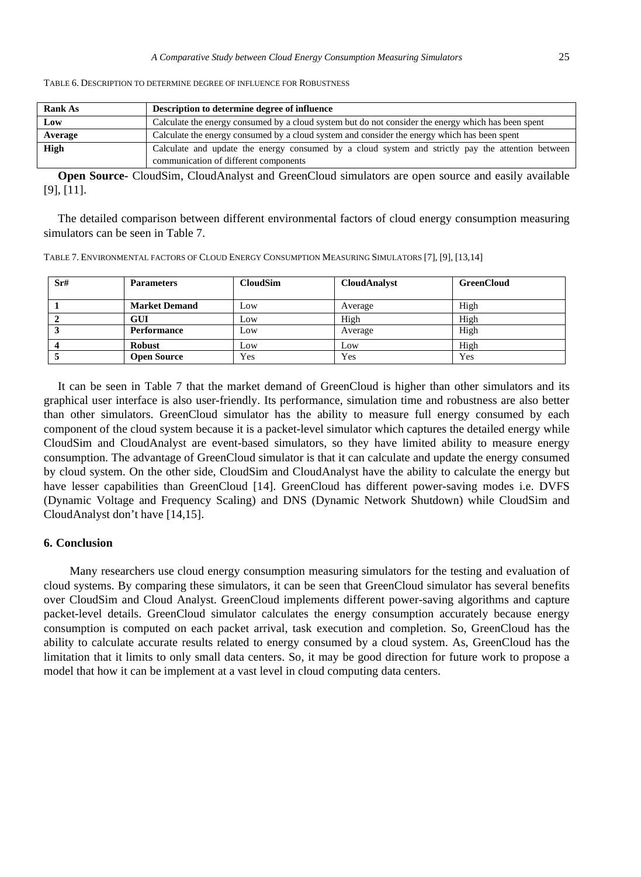| TABLE 6. DESCRIPTION TO DETERMINE DEGREE OF INFLUENCE FOR ROBUSTNESS |
|----------------------------------------------------------------------|
|----------------------------------------------------------------------|

| <b>Rank As</b>                                                                                          | Description to determine degree of influence                                                        |  |  |
|---------------------------------------------------------------------------------------------------------|-----------------------------------------------------------------------------------------------------|--|--|
| Low                                                                                                     | Calculate the energy consumed by a cloud system but do not consider the energy which has been spent |  |  |
| Calculate the energy consumed by a cloud system and consider the energy which has been spent<br>Average |                                                                                                     |  |  |
| <b>High</b>                                                                                             | Calculate and update the energy consumed by a cloud system and strictly pay the attention between   |  |  |
|                                                                                                         | communication of different components                                                               |  |  |

**Open Source-** CloudSim, CloudAnalyst and GreenCloud simulators are open source and easily available [9], [11].

The detailed comparison between different environmental factors of cloud energy consumption measuring simulators can be seen in Table 7.

| Sr# | <b>Parameters</b>    | <b>CloudSim</b> | <b>CloudAnalyst</b> | <b>GreenCloud</b> |
|-----|----------------------|-----------------|---------------------|-------------------|
|     | <b>Market Demand</b> | Low             | Average             | High              |
|     | GUI                  | Low             | High                | High              |
|     | Performance          | Low             | Average             | High              |
|     | <b>Robust</b>        | Low             | Low                 | High              |
|     | <b>Open Source</b>   | Yes             | Yes                 | Yes               |

It can be seen in Table 7 that the market demand of GreenCloud is higher than other simulators and its graphical user interface is also user-friendly. Its performance, simulation time and robustness are also better than other simulators. GreenCloud simulator has the ability to measure full energy consumed by each component of the cloud system because it is a packet-level simulator which captures the detailed energy while CloudSim and CloudAnalyst are event-based simulators, so they have limited ability to measure energy consumption. The advantage of GreenCloud simulator is that it can calculate and update the energy consumed by cloud system. On the other side, CloudSim and CloudAnalyst have the ability to calculate the energy but have lesser capabilities than GreenCloud [14]. GreenCloud has different power-saving modes i.e. DVFS (Dynamic Voltage and Frequency Scaling) and DNS (Dynamic Network Shutdown) while CloudSim and CloudAnalyst don't have [14,15].

## **6. Conclusion**

Many researchers use cloud energy consumption measuring simulators for the testing and evaluation of cloud systems. By comparing these simulators, it can be seen that GreenCloud simulator has several benefits over CloudSim and Cloud Analyst. GreenCloud implements different power-saving algorithms and capture packet-level details. GreenCloud simulator calculates the energy consumption accurately because energy consumption is computed on each packet arrival, task execution and completion. So, GreenCloud has the ability to calculate accurate results related to energy consumed by a cloud system. As, GreenCloud has the limitation that it limits to only small data centers. So, it may be good direction for future work to propose a model that how it can be implement at a vast level in cloud computing data centers.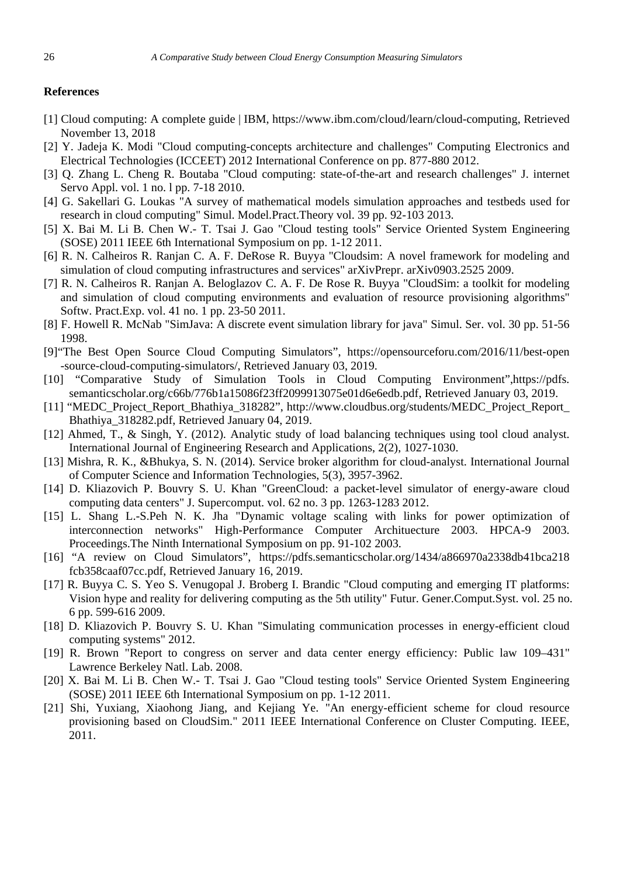## **References**

- [1] Cloud computing: A complete guide | IBM, https://www.ibm.com/cloud/learn/cloud-computing, Retrieved November 13, 2018
- [2] Y. Jadeja K. Modi "Cloud computing-concepts architecture and challenges" Computing Electronics and Electrical Technologies (ICCEET) 2012 International Conference on pp. 877-880 2012.
- [3] Q. Zhang L. Cheng R. Boutaba "Cloud computing: state-of-the-art and research challenges" J. internet Servo Appl. vol. 1 no. l pp. 7-18 2010.
- [4] G. Sakellari G. Loukas "A survey of mathematical models simulation approaches and testbeds used for research in cloud computing" Simul. Model.Pract.Theory vol. 39 pp. 92-103 2013.
- [5] X. Bai M. Li B. Chen W.- T. Tsai J. Gao "Cloud testing tools" Service Oriented System Engineering (SOSE) 2011 IEEE 6th International Symposium on pp. 1-12 2011.
- [6] R. N. Calheiros R. Ranjan C. A. F. DeRose R. Buyya "Cloudsim: A novel framework for modeling and simulation of cloud computing infrastructures and services" arXivPrepr. arXiv0903.2525 2009.
- [7] R. N. Calheiros R. Ranjan A. Beloglazov C. A. F. De Rose R. Buyya "CloudSim: a toolkit for modeling and simulation of cloud computing environments and evaluation of resource provisioning algorithms" Softw. Pract.Exp. vol. 41 no. 1 pp. 23-50 2011.
- [8] F. Howell R. McNab "SimJava: A discrete event simulation library for java" Simul. Ser. vol. 30 pp. 51-56 1998.
- [9]"The Best Open Source Cloud Computing Simulators", <https://opensourceforu.com/2016/11/best-open> -source-cloud-computing-simulators/, Retrieved January 03, 2019.
- [10] "Comparative Study of Simulation Tools in Cloud Computing Environment",https://pdfs. semanticscholar.org/c66b/776b1a15086f23ff2099913075e01d6e6edb.pdf, Retrieved January 03, 2019.
- [11] "MEDC\_Project\_Report\_Bhathiya\_318282", [http://www.cloudbus.org/students/MEDC\\_Project\\_Report\\_](http://www.cloudbus.org/students/MEDC_Project_Report_) Bhathiya\_318282.pdf, Retrieved January 04, 2019.
- [12] Ahmed, T., & Singh, Y. (2012). Analytic study of load balancing techniques using tool cloud analyst. International Journal of Engineering Research and Applications, 2(2), 1027-1030.
- [13] Mishra, R. K., &Bhukya, S. N. (2014). Service broker algorithm for cloud-analyst. International Journal of Computer Science and Information Technologies, 5(3), 3957-3962.
- [14] D. Kliazovich P. Bouvry S. U. Khan "GreenCloud: a packet-level simulator of energy-aware cloud computing data centers" J. Supercomput. vol. 62 no. 3 pp. 1263-1283 2012.
- [15] L. Shang L.-S.Peh N. K. Jha "Dynamic voltage scaling with links for power optimization of interconnection networks" High-Performance Computer Archituecture 2003. HPCA-9 2003. Proceedings.The Ninth International Symposium on pp. 91-102 2003.
- [16] "A review on Cloud Simulators", <https://pdfs.semanticscholar.org/1434/a866970a2338db41bca218> fcb358caaf07cc.pdf, Retrieved January 16, 2019.
- [17] R. Buyya C. S. Yeo S. Venugopal J. Broberg I. Brandic "Cloud computing and emerging IT platforms: Vision hype and reality for delivering computing as the 5th utility" Futur. Gener.Comput.Syst. vol. 25 no. 6 pp. 599-616 2009.
- [18] D. Kliazovich P. Bouvry S. U. Khan "Simulating communication processes in energy-efficient cloud computing systems" 2012.
- [19] R. Brown "Report to congress on server and data center energy efficiency: Public law 109–431" Lawrence Berkeley Natl. Lab. 2008.
- [20] X. Bai M. Li B. Chen W.- T. Tsai J. Gao "Cloud testing tools" Service Oriented System Engineering (SOSE) 2011 IEEE 6th International Symposium on pp. 1-12 2011.
- [21] Shi, Yuxiang, Xiaohong Jiang, and Kejiang Ye. "An energy-efficient scheme for cloud resource provisioning based on CloudSim." 2011 IEEE International Conference on Cluster Computing. IEEE, 2011.